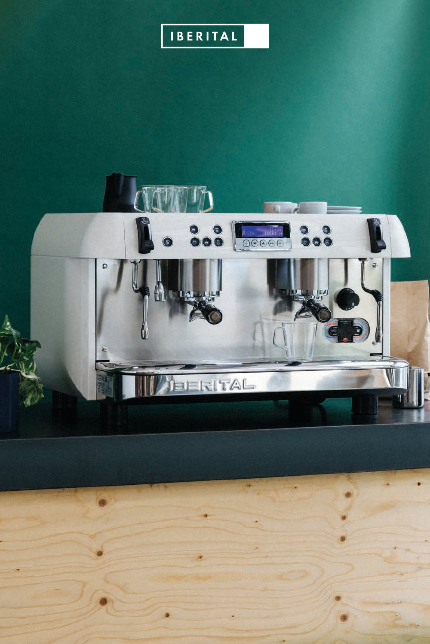## IBERITAL

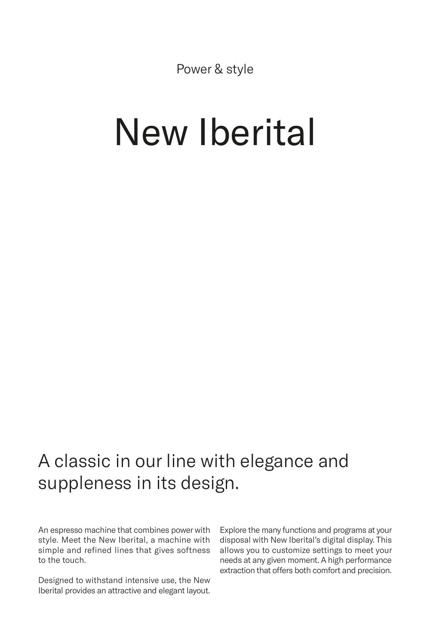Power & style

# New Iberital

## A classic in our line with elegance and suppleness in its design.

An espresso machine that combines power with style. Meet the New Iberital, a machine with simple and refined lines that gives softness to the touch.

Designed to withstand intensive use, the New Iberital provides an attractive and elegant layout.

Explore the many functions and programs at your disposal with New Iberital's digital display. This allows you to customize settings to meet your needs at any given moment. A high performance extraction that offers both comfort and precision.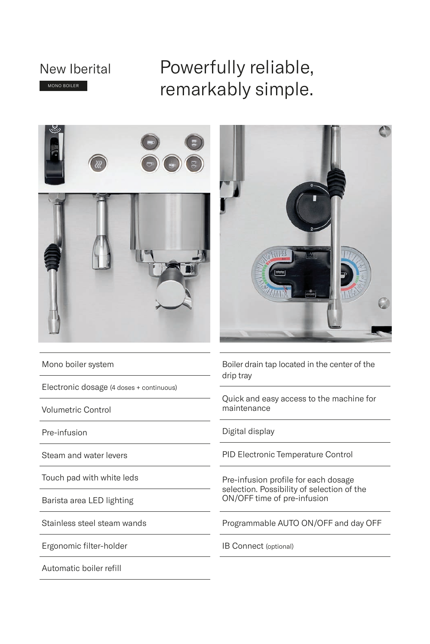### New Iberital MONO BOILER

## Powerfully reliable, remarkably simple.





Mono boiler system

Electronic dosage (4 doses + continuous)

Volumetric Control

Pre-infusion

Steam and water levers

Touch pad with white leds

Barista area LED lighting

Stainless steel steam wands

Ergonomic filter-holder

Automatic boiler refill

Boiler drain tap located in the center of the drip tray

Quick and easy access to the machine for maintenance

Digital display

PID Electronic Temperature Control

Pre-infusion profile for each dosage selection. Possibility of selection of the ON/OFF time of pre-infusion

Programmable AUTO ON/OFF and day OFF

IB Connect (optional)